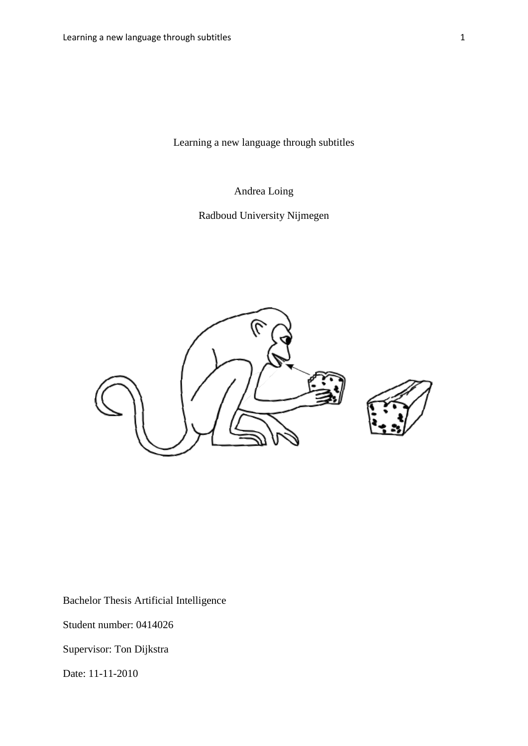Learning a new language through subtitles

Andrea Loing

Radboud University Nijmegen



Bachelor Thesis Artificial Intelligence

Student number: 0414026

Supervisor: Ton Dijkstra

Date: 11-11-2010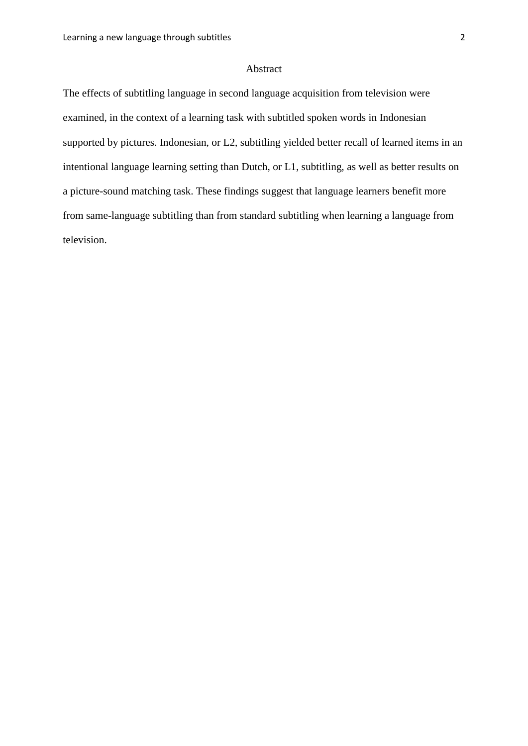# Abstract

The effects of subtitling language in second language acquisition from television were examined, in the context of a learning task with subtitled spoken words in Indonesian supported by pictures. Indonesian, or L2, subtitling yielded better recall of learned items in an intentional language learning setting than Dutch, or L1, subtitling, as well as better results on a picture-sound matching task. These findings suggest that language learners benefit more from same-language subtitling than from standard subtitling when learning a language from television.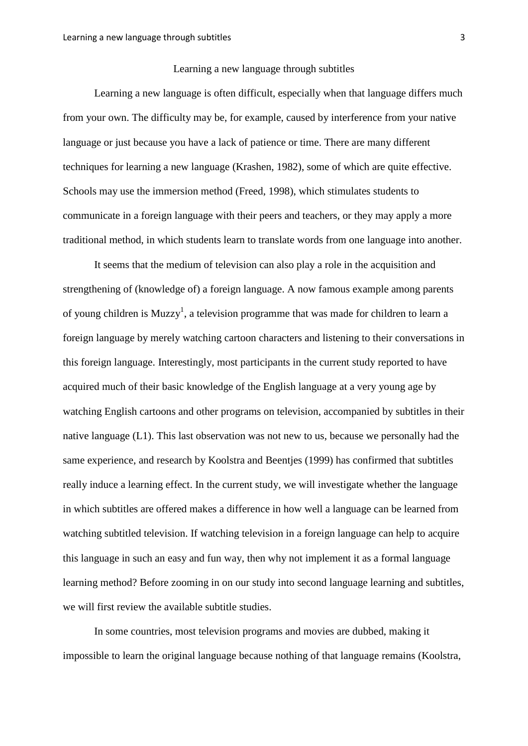#### Learning a new language through subtitles

Learning a new language is often difficult, especially when that language differs much from your own. The difficulty may be, for example, caused by interference from your native language or just because you have a lack of patience or time. There are many different techniques for learning a new language (Krashen, 1982), some of which are quite effective. Schools may use the immersion method (Freed, 1998), which stimulates students to communicate in a foreign language with their peers and teachers, or they may apply a more traditional method, in which students learn to translate words from one language into another.

It seems that the medium of television can also play a role in the acquisition and strengthening of (knowledge of) a foreign language. A now famous example among parents of young children is Muzzy<sup>1</sup>, a television programme that was made for children to learn a foreign language by merely watching cartoon characters and listening to their conversations in this foreign language. Interestingly, most participants in the current study reported to have acquired much of their basic knowledge of the English language at a very young age by watching English cartoons and other programs on television, accompanied by subtitles in their native language (L1). This last observation was not new to us, because we personally had the same experience, and research by Koolstra and Beentjes (1999) has confirmed that subtitles really induce a learning effect. In the current study, we will investigate whether the language in which subtitles are offered makes a difference in how well a language can be learned from watching subtitled television. If watching television in a foreign language can help to acquire this language in such an easy and fun way, then why not implement it as a formal language learning method? Before zooming in on our study into second language learning and subtitles, we will first review the available subtitle studies.

In some countries, most television programs and movies are dubbed, making it impossible to learn the original language because nothing of that language remains (Koolstra,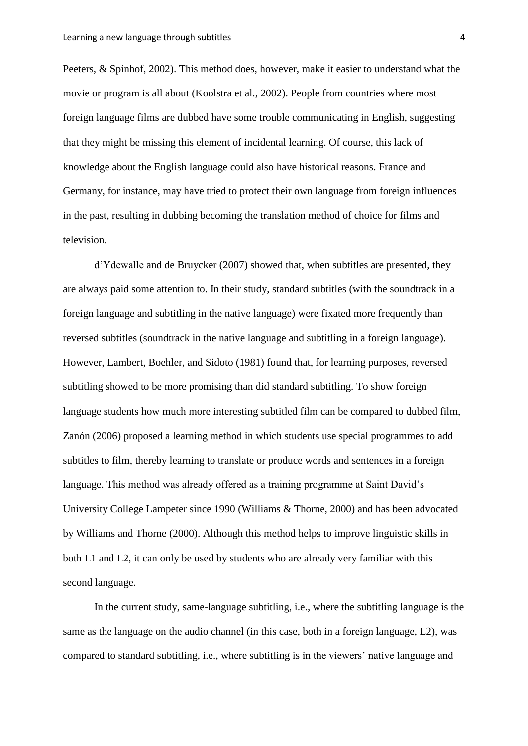Peeters, & Spinhof, 2002). This method does, however, make it easier to understand what the movie or program is all about (Koolstra et al., 2002). People from countries where most foreign language films are dubbed have some trouble communicating in English, suggesting that they might be missing this element of incidental learning. Of course, this lack of knowledge about the English language could also have historical reasons. France and Germany, for instance, may have tried to protect their own language from foreign influences in the past, resulting in dubbing becoming the translation method of choice for films and television.

d"Ydewalle and de Bruycker (2007) showed that, when subtitles are presented, they are always paid some attention to. In their study, standard subtitles (with the soundtrack in a foreign language and subtitling in the native language) were fixated more frequently than reversed subtitles (soundtrack in the native language and subtitling in a foreign language). However, Lambert, Boehler, and Sidoto (1981) found that, for learning purposes, reversed subtitling showed to be more promising than did standard subtitling. To show foreign language students how much more interesting subtitled film can be compared to dubbed film, Zanón (2006) proposed a learning method in which students use special programmes to add subtitles to film, thereby learning to translate or produce words and sentences in a foreign language. This method was already offered as a training programme at Saint David's University College Lampeter since 1990 (Williams & Thorne, 2000) and has been advocated by Williams and Thorne (2000). Although this method helps to improve linguistic skills in both L1 and L2, it can only be used by students who are already very familiar with this second language.

In the current study, same-language subtitling, i.e., where the subtitling language is the same as the language on the audio channel (in this case, both in a foreign language, L2), was compared to standard subtitling, i.e., where subtitling is in the viewers" native language and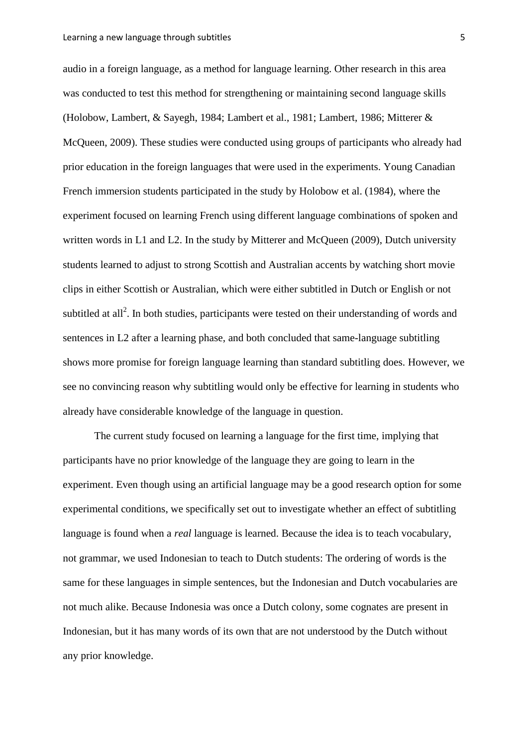audio in a foreign language, as a method for language learning. Other research in this area was conducted to test this method for strengthening or maintaining second language skills (Holobow, Lambert, & Sayegh, 1984; Lambert et al., 1981; Lambert, 1986; Mitterer & McQueen, 2009). These studies were conducted using groups of participants who already had prior education in the foreign languages that were used in the experiments. Young Canadian French immersion students participated in the study by Holobow et al. (1984), where the experiment focused on learning French using different language combinations of spoken and written words in L1 and L2. In the study by Mitterer and McQueen (2009), Dutch university students learned to adjust to strong Scottish and Australian accents by watching short movie clips in either Scottish or Australian, which were either subtitled in Dutch or English or not subtitled at all<sup>2</sup>. In both studies, participants were tested on their understanding of words and sentences in L2 after a learning phase, and both concluded that same-language subtitling shows more promise for foreign language learning than standard subtitling does. However, we see no convincing reason why subtitling would only be effective for learning in students who already have considerable knowledge of the language in question.

The current study focused on learning a language for the first time, implying that participants have no prior knowledge of the language they are going to learn in the experiment. Even though using an artificial language may be a good research option for some experimental conditions, we specifically set out to investigate whether an effect of subtitling language is found when a *real* language is learned. Because the idea is to teach vocabulary, not grammar, we used Indonesian to teach to Dutch students: The ordering of words is the same for these languages in simple sentences, but the Indonesian and Dutch vocabularies are not much alike. Because Indonesia was once a Dutch colony, some cognates are present in Indonesian, but it has many words of its own that are not understood by the Dutch without any prior knowledge.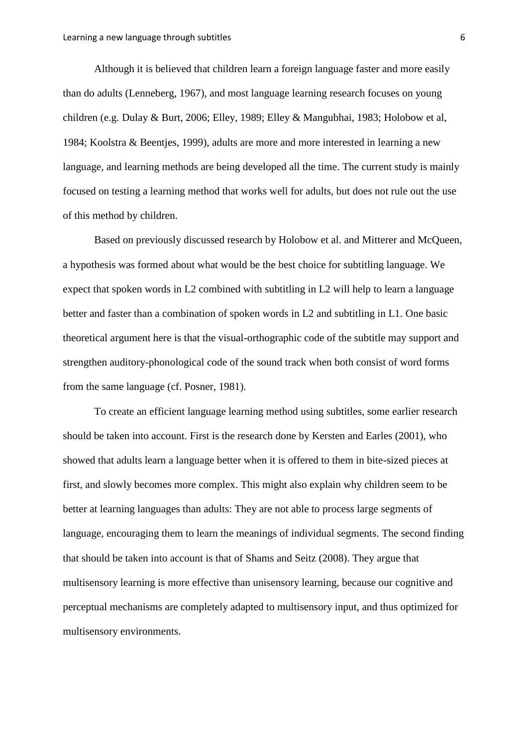Although it is believed that children learn a foreign language faster and more easily than do adults (Lenneberg, 1967), and most language learning research focuses on young children (e.g. Dulay & Burt, 2006; Elley, 1989; Elley & Mangubhai, 1983; Holobow et al, 1984; Koolstra & Beentjes, 1999), adults are more and more interested in learning a new language, and learning methods are being developed all the time. The current study is mainly focused on testing a learning method that works well for adults, but does not rule out the use of this method by children.

Based on previously discussed research by Holobow et al. and Mitterer and McQueen, a hypothesis was formed about what would be the best choice for subtitling language. We expect that spoken words in L2 combined with subtitling in L2 will help to learn a language better and faster than a combination of spoken words in L2 and subtitling in L1. One basic theoretical argument here is that the visual-orthographic code of the subtitle may support and strengthen auditory-phonological code of the sound track when both consist of word forms from the same language (cf. Posner, 1981).

To create an efficient language learning method using subtitles, some earlier research should be taken into account. First is the research done by Kersten and Earles (2001), who showed that adults learn a language better when it is offered to them in bite-sized pieces at first, and slowly becomes more complex. This might also explain why children seem to be better at learning languages than adults: They are not able to process large segments of language, encouraging them to learn the meanings of individual segments. The second finding that should be taken into account is that of Shams and Seitz (2008). They argue that multisensory learning is more effective than unisensory learning, because our cognitive and perceptual mechanisms are completely adapted to multisensory input, and thus optimized for multisensory environments.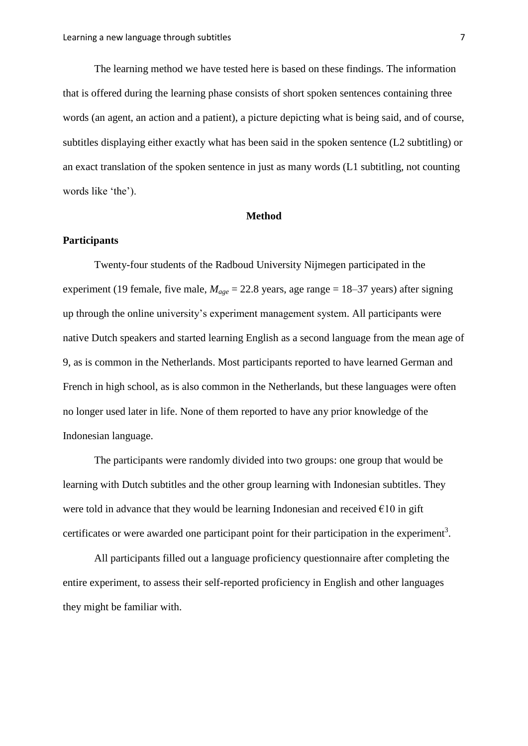The learning method we have tested here is based on these findings. The information that is offered during the learning phase consists of short spoken sentences containing three words (an agent, an action and a patient), a picture depicting what is being said, and of course, subtitles displaying either exactly what has been said in the spoken sentence (L2 subtitling) or an exact translation of the spoken sentence in just as many words (L1 subtitling, not counting words like 'the').

#### **Method**

# **Participants**

Twenty-four students of the Radboud University Nijmegen participated in the experiment (19 female, five male,  $M_{\text{age}} = 22.8$  years, age range = 18–37 years) after signing up through the online university"s experiment management system. All participants were native Dutch speakers and started learning English as a second language from the mean age of 9, as is common in the Netherlands. Most participants reported to have learned German and French in high school, as is also common in the Netherlands, but these languages were often no longer used later in life. None of them reported to have any prior knowledge of the Indonesian language.

The participants were randomly divided into two groups: one group that would be learning with Dutch subtitles and the other group learning with Indonesian subtitles. They were told in advance that they would be learning Indonesian and received  $\epsilon$ 10 in gift certificates or were awarded one participant point for their participation in the experiment<sup>3</sup>.

All participants filled out a language proficiency questionnaire after completing the entire experiment, to assess their self-reported proficiency in English and other languages they might be familiar with.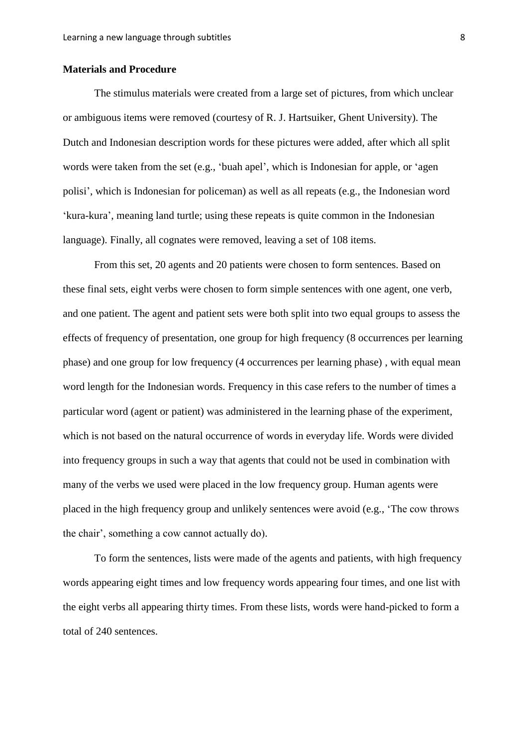# **Materials and Procedure**

The stimulus materials were created from a large set of pictures, from which unclear or ambiguous items were removed (courtesy of R. J. Hartsuiker, Ghent University). The Dutch and Indonesian description words for these pictures were added, after which all split words were taken from the set (e.g., "buah apel", which is Indonesian for apple, or "agen polisi", which is Indonesian for policeman) as well as all repeats (e.g., the Indonesian word "kura-kura", meaning land turtle; using these repeats is quite common in the Indonesian language). Finally, all cognates were removed, leaving a set of 108 items.

From this set, 20 agents and 20 patients were chosen to form sentences. Based on these final sets, eight verbs were chosen to form simple sentences with one agent, one verb, and one patient. The agent and patient sets were both split into two equal groups to assess the effects of frequency of presentation, one group for high frequency (8 occurrences per learning phase) and one group for low frequency (4 occurrences per learning phase) , with equal mean word length for the Indonesian words. Frequency in this case refers to the number of times a particular word (agent or patient) was administered in the learning phase of the experiment, which is not based on the natural occurrence of words in everyday life. Words were divided into frequency groups in such a way that agents that could not be used in combination with many of the verbs we used were placed in the low frequency group. Human agents were placed in the high frequency group and unlikely sentences were avoid (e.g., "The cow throws the chair", something a cow cannot actually do).

To form the sentences, lists were made of the agents and patients, with high frequency words appearing eight times and low frequency words appearing four times, and one list with the eight verbs all appearing thirty times. From these lists, words were hand-picked to form a total of 240 sentences.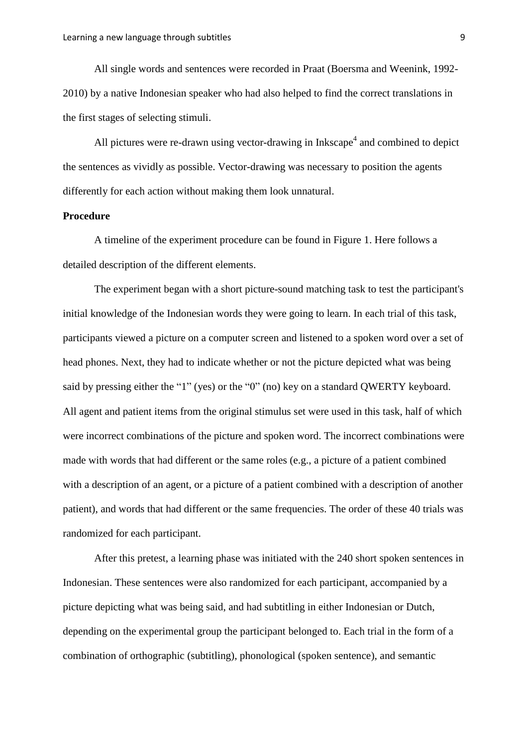All single words and sentences were recorded in Praat (Boersma and Weenink, 1992- 2010) by a native Indonesian speaker who had also helped to find the correct translations in the first stages of selecting stimuli.

All pictures were re-drawn using vector-drawing in Inkscape<sup>4</sup> and combined to depict the sentences as vividly as possible. Vector-drawing was necessary to position the agents differently for each action without making them look unnatural.

#### **Procedure**

A timeline of the experiment procedure can be found in Figure 1. Here follows a detailed description of the different elements.

The experiment began with a short picture-sound matching task to test the participant's initial knowledge of the Indonesian words they were going to learn. In each trial of this task, participants viewed a picture on a computer screen and listened to a spoken word over a set of head phones. Next, they had to indicate whether or not the picture depicted what was being said by pressing either the "1" (yes) or the "0" (no) key on a standard QWERTY keyboard. All agent and patient items from the original stimulus set were used in this task, half of which were incorrect combinations of the picture and spoken word. The incorrect combinations were made with words that had different or the same roles (e.g., a picture of a patient combined with a description of an agent, or a picture of a patient combined with a description of another patient), and words that had different or the same frequencies. The order of these 40 trials was randomized for each participant.

After this pretest, a learning phase was initiated with the 240 short spoken sentences in Indonesian. These sentences were also randomized for each participant, accompanied by a picture depicting what was being said, and had subtitling in either Indonesian or Dutch, depending on the experimental group the participant belonged to. Each trial in the form of a combination of orthographic (subtitling), phonological (spoken sentence), and semantic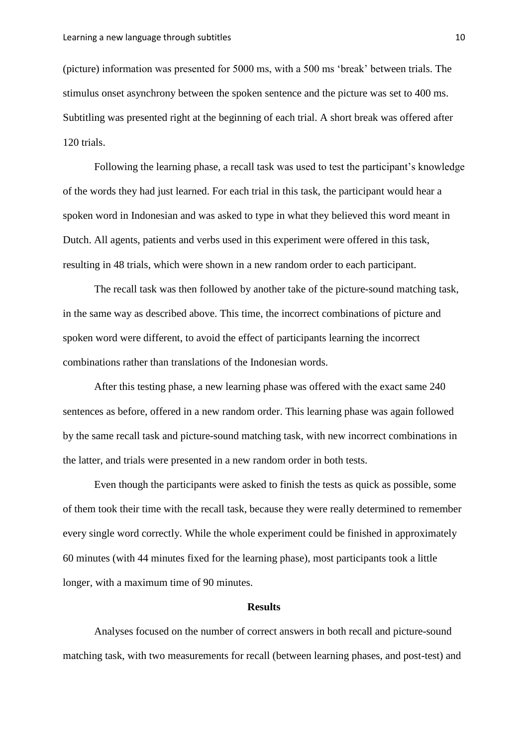(picture) information was presented for 5000 ms, with a 500 ms "break" between trials. The stimulus onset asynchrony between the spoken sentence and the picture was set to 400 ms. Subtitling was presented right at the beginning of each trial. A short break was offered after 120 trials.

Following the learning phase, a recall task was used to test the participant's knowledge of the words they had just learned. For each trial in this task, the participant would hear a spoken word in Indonesian and was asked to type in what they believed this word meant in Dutch. All agents, patients and verbs used in this experiment were offered in this task, resulting in 48 trials, which were shown in a new random order to each participant.

The recall task was then followed by another take of the picture-sound matching task, in the same way as described above. This time, the incorrect combinations of picture and spoken word were different, to avoid the effect of participants learning the incorrect combinations rather than translations of the Indonesian words.

After this testing phase, a new learning phase was offered with the exact same 240 sentences as before, offered in a new random order. This learning phase was again followed by the same recall task and picture-sound matching task, with new incorrect combinations in the latter, and trials were presented in a new random order in both tests.

Even though the participants were asked to finish the tests as quick as possible, some of them took their time with the recall task, because they were really determined to remember every single word correctly. While the whole experiment could be finished in approximately 60 minutes (with 44 minutes fixed for the learning phase), most participants took a little longer, with a maximum time of 90 minutes.

#### **Results**

Analyses focused on the number of correct answers in both recall and picture-sound matching task, with two measurements for recall (between learning phases, and post-test) and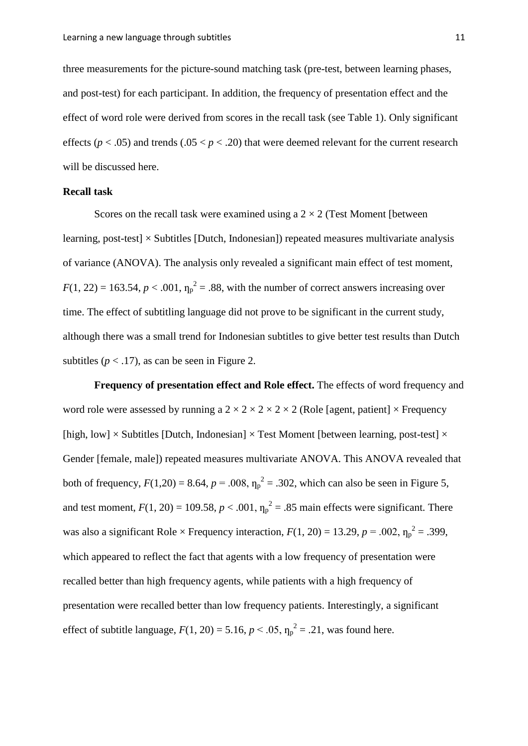three measurements for the picture-sound matching task (pre-test, between learning phases, and post-test) for each participant. In addition, the frequency of presentation effect and the effect of word role were derived from scores in the recall task (see Table 1). Only significant effects ( $p < .05$ ) and trends ( $.05 < p < .20$ ) that were deemed relevant for the current research will be discussed here.

# **Recall task**

Scores on the recall task were examined using a  $2 \times 2$  (Test Moment [between] learning, post-test]  $\times$  Subtitles [Dutch, Indonesian]) repeated measures multivariate analysis of variance (ANOVA). The analysis only revealed a significant main effect of test moment,  $F(1, 22) = 163.54$ ,  $p < .001$ ,  $\eta_p^2 = .88$ , with the number of correct answers increasing over time. The effect of subtitling language did not prove to be significant in the current study, although there was a small trend for Indonesian subtitles to give better test results than Dutch subtitles  $(p < .17)$ , as can be seen in Figure 2.

**Frequency of presentation effect and Role effect.** The effects of word frequency and word role were assessed by running a  $2 \times 2 \times 2 \times 2 \times 2$  (Role [agent, patient]  $\times$  Frequency [high, low]  $\times$  Subtitles [Dutch, Indonesian]  $\times$  Test Moment [between learning, post-test]  $\times$ Gender [female, male]) repeated measures multivariate ANOVA. This ANOVA revealed that both of frequency,  $F(1,20) = 8.64$ ,  $p = .008$ ,  $\eta_p^2 = .302$ , which can also be seen in Figure 5, and test moment,  $F(1, 20) = 109.58$ ,  $p < .001$ ,  $\eta_p^2 = .85$  main effects were significant. There was also a significant Role  $\times$  Frequency interaction,  $F(1, 20) = 13.29$ ,  $p = .002$ ,  $\eta_p^2 = .399$ , which appeared to reflect the fact that agents with a low frequency of presentation were recalled better than high frequency agents, while patients with a high frequency of presentation were recalled better than low frequency patients. Interestingly, a significant effect of subtitle language,  $F(1, 20) = 5.16$ ,  $p < .05$ ,  $\eta_p^2 = .21$ , was found here.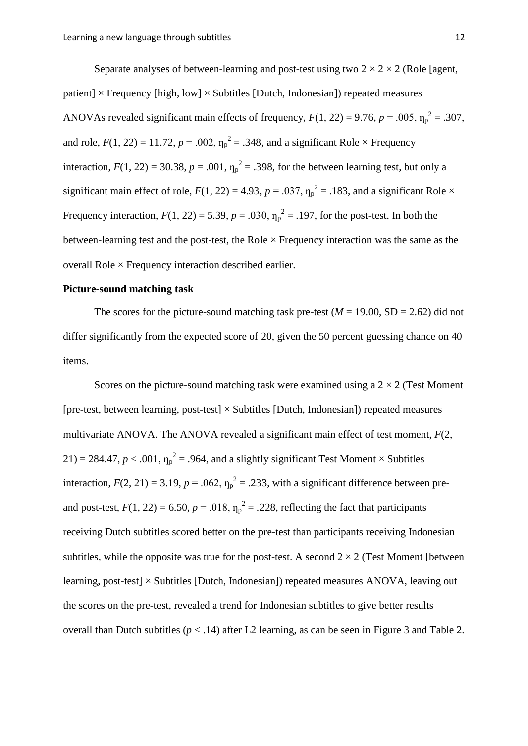Separate analyses of between-learning and post-test using two  $2 \times 2 \times 2$  (Role [agent, patient]  $\times$  Frequency [high, low]  $\times$  Subtitles [Dutch, Indonesian]) repeated measures ANOVAs revealed significant main effects of frequency,  $F(1, 22) = 9.76$ ,  $p = .005$ ,  $\eta_p^2 = .307$ , and role,  $F(1, 22) = 11.72$ ,  $p = .002$ ,  $\eta_p^2 = .348$ , and a significant Role  $\times$  Frequency interaction,  $F(1, 22) = 30.38$ ,  $p = .001$ ,  $\eta_p^2 = .398$ , for the between learning test, but only a significant main effect of role,  $F(1, 22) = 4.93$ ,  $p = .037$ ,  $\eta_p^2 = .183$ , and a significant Role  $\times$ Frequency interaction,  $F(1, 22) = 5.39$ ,  $p = .030$ ,  $\eta_p^2 = .197$ , for the post-test. In both the between-learning test and the post-test, the Role  $\times$  Frequency interaction was the same as the overall Role  $\times$  Frequency interaction described earlier.

# **Picture-sound matching task**

The scores for the picture-sound matching task pre-test ( $M = 19.00$ , SD = 2.62) did not differ significantly from the expected score of 20, given the 50 percent guessing chance on 40 items.

Scores on the picture-sound matching task were examined using a  $2 \times 2$  (Test Moment) [pre-test, between learning, post-test]  $\times$  Subtitles [Dutch, Indonesian]) repeated measures multivariate ANOVA. The ANOVA revealed a significant main effect of test moment, *F*(2,  $21$ ) = 284.47,  $p < .001$ ,  $\eta_p^2 = .964$ , and a slightly significant Test Moment  $\times$  Subtitles interaction,  $F(2, 21) = 3.19$ ,  $p = .062$ ,  $\eta_p^2 = .233$ , with a significant difference between preand post-test,  $F(1, 22) = 6.50$ ,  $p = .018$ ,  $\eta_p^2 = .228$ , reflecting the fact that participants receiving Dutch subtitles scored better on the pre-test than participants receiving Indonesian subtitles, while the opposite was true for the post-test. A second  $2 \times 2$  (Test Moment [between] learning, post-test]  $\times$  Subtitles [Dutch, Indonesian]) repeated measures ANOVA, leaving out the scores on the pre-test, revealed a trend for Indonesian subtitles to give better results overall than Dutch subtitles  $(p < .14)$  after L2 learning, as can be seen in Figure 3 and Table 2.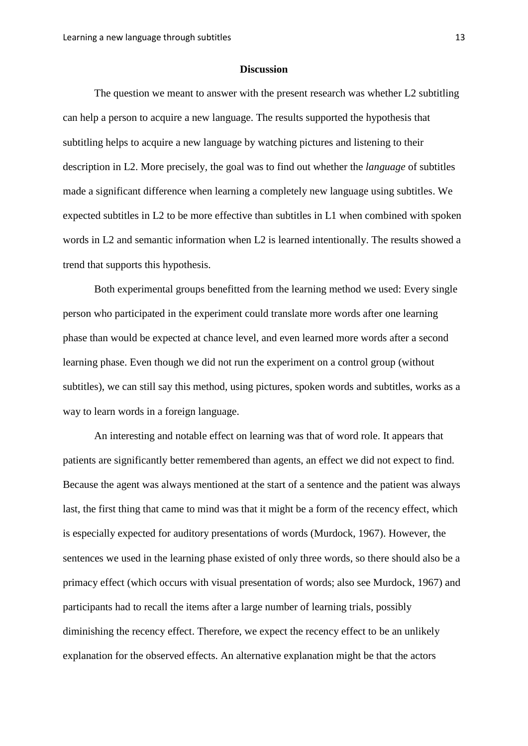#### **Discussion**

The question we meant to answer with the present research was whether L2 subtitling can help a person to acquire a new language. The results supported the hypothesis that subtitling helps to acquire a new language by watching pictures and listening to their description in L2. More precisely, the goal was to find out whether the *language* of subtitles made a significant difference when learning a completely new language using subtitles. We expected subtitles in L2 to be more effective than subtitles in L1 when combined with spoken words in L2 and semantic information when L2 is learned intentionally. The results showed a trend that supports this hypothesis.

Both experimental groups benefitted from the learning method we used: Every single person who participated in the experiment could translate more words after one learning phase than would be expected at chance level, and even learned more words after a second learning phase. Even though we did not run the experiment on a control group (without subtitles), we can still say this method, using pictures, spoken words and subtitles, works as a way to learn words in a foreign language.

An interesting and notable effect on learning was that of word role. It appears that patients are significantly better remembered than agents, an effect we did not expect to find. Because the agent was always mentioned at the start of a sentence and the patient was always last, the first thing that came to mind was that it might be a form of the recency effect, which is especially expected for auditory presentations of words (Murdock, 1967). However, the sentences we used in the learning phase existed of only three words, so there should also be a primacy effect (which occurs with visual presentation of words; also see Murdock, 1967) and participants had to recall the items after a large number of learning trials, possibly diminishing the recency effect. Therefore, we expect the recency effect to be an unlikely explanation for the observed effects. An alternative explanation might be that the actors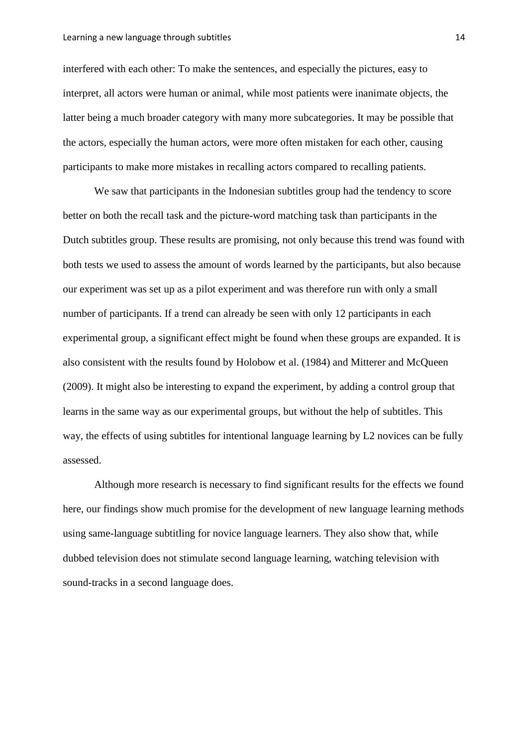interfered with each other: To make the sentences, and especially the pictures, easy to interpret, all actors were human or animal, while most patients were inanimate objects, the latter being a much broader category with many more subcategories. It may be possible that the actors, especially the human actors, were more often mistaken for each other, causing participants to make more mistakes in recalling actors compared to recalling patients.

We saw that participants in the Indonesian subtitles group had the tendency to score better on both the recall task and the picture-word matching task than participants in the Dutch subtitles group. These results are promising, not only because this trend was found with both tests we used to assess the amount of words learned by the participants, but also because our experiment was set up as a pilot experiment and was therefore run with only a small number of participants. If a trend can already be seen with only 12 participants in each experimental group, a significant effect might be found when these groups are expanded. It is also consistent with the results found by Holobow et al. (1984) and Mitterer and McQueen (2009). It might also be interesting to expand the experiment, by adding a control group that learns in the same way as our experimental groups, but without the help of subtitles. This way, the effects of using subtitles for intentional language learning by L2 novices can be fully assessed.

Although more research is necessary to find significant results for the effects we found here, our findings show much promise for the development of new language learning methods using same-language subtitling for novice language learners. They also show that, while dubbed television does not stimulate second language learning, watching television with sound-tracks in a second language does.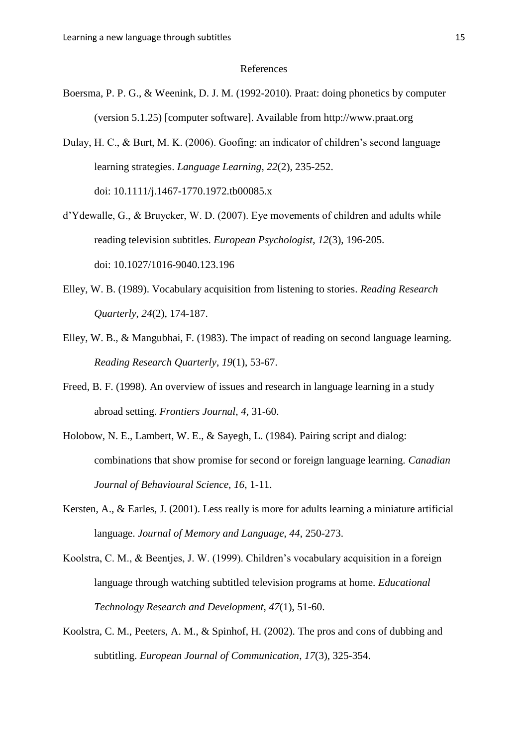#### References

- Boersma, P. P. G., & Weenink, D. J. M. (1992-2010). Praat: doing phonetics by computer (version 5.1.25) [computer software]. Available from http://www.praat.org
- Dulay, H. C., & Burt, M. K. (2006). Goofing: an indicator of children's second language learning strategies. *Language Learning*, *22*(2), 235-252. doi: 10.1111/j.1467-1770.1972.tb00085.x
- d"Ydewalle, G., & Bruycker, W. D. (2007). Eye movements of children and adults while reading television subtitles. *European Psychologist*, *12*(3), 196-205. doi: 10.1027/1016-9040.123.196
- Elley, W. B. (1989). Vocabulary acquisition from listening to stories. *Reading Research Quarterly*, *24*(2), 174-187.
- Elley, W. B., & Mangubhai, F. (1983). The impact of reading on second language learning. *Reading Research Quarterly*, *19*(1), 53-67.
- Freed, B. F. (1998). An overview of issues and research in language learning in a study abroad setting. *Frontiers Journal*, *4*, 31-60.
- Holobow, N. E., Lambert, W. E., & Sayegh, L. (1984). Pairing script and dialog: combinations that show promise for second or foreign language learning. *Canadian Journal of Behavioural Science, 16*, 1-11.
- Kersten, A., & Earles, J. (2001). Less really is more for adults learning a miniature artificial language. *Journal of Memory and Language*, *44*, 250-273.
- Koolstra, C. M., & Beentjes, J. W. (1999). Children"s vocabulary acquisition in a foreign language through watching subtitled television programs at home. *Educational Technology Research and Development*, *47*(1), 51-60.
- Koolstra, C. M., Peeters, A. M., & Spinhof, H. (2002). The pros and cons of dubbing and subtitling. *European Journal of Communication*, *17*(3), 325-354.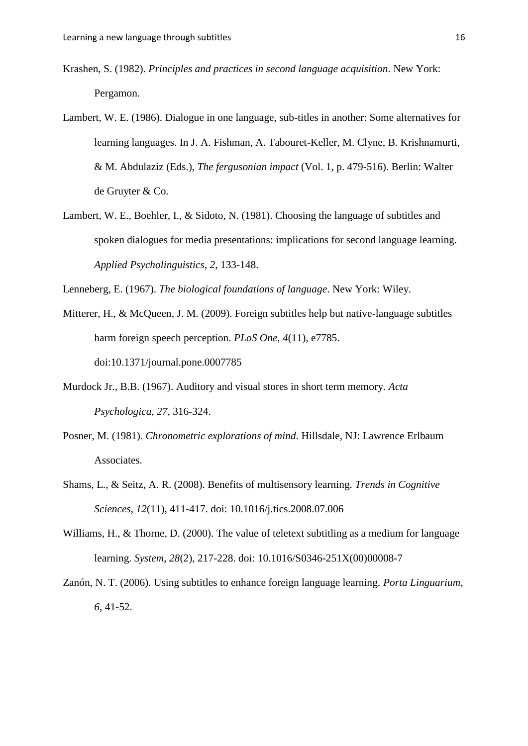- Krashen, S. (1982). *Principles and practices in second language acquisition*. New York: Pergamon.
- Lambert, W. E. (1986). Dialogue in one language, sub-titles in another: Some alternatives for learning languages. In J. A. Fishman, A. Tabouret-Keller, M. Clyne, B. Krishnamurti, & M. Abdulaziz (Eds.), *The fergusonian impact* (Vol. 1, p. 479-516). Berlin: Walter de Gruyter & Co.
- Lambert, W. E., Boehler, I., & Sidoto, N. (1981). Choosing the language of subtitles and spoken dialogues for media presentations: implications for second language learning. *Applied Psycholinguistics*, *2*, 133-148.

Lenneberg, E. (1967). *The biological foundations of language*. New York: Wiley.

- Mitterer, H., & McQueen, J. M. (2009). Foreign subtitles help but native-language subtitles harm foreign speech perception. *PLoS One*, *4*(11), e7785. doi:10.1371/journal.pone.0007785
- Murdock Jr., B.B. (1967). Auditory and visual stores in short term memory. *Acta Psychologica*, *27*, 316-324.
- Posner, M. (1981). *Chronometric explorations of mind*. Hillsdale, NJ: Lawrence Erlbaum Associates.
- Shams, L., & Seitz, A. R. (2008). Benefits of multisensory learning. *Trends in Cognitive Sciences*, *12*(11), 411-417. doi: 10.1016/j.tics.2008.07.006
- Williams, H., & Thorne, D. (2000). The value of teletext subtitling as a medium for language learning. *System*, *28*(2), 217-228. doi: 10.1016/S0346-251X(00)00008-7
- Zanón, N. T. (2006). Using subtitles to enhance foreign language learning. *Porta Linguarium*, *6*, 41-52.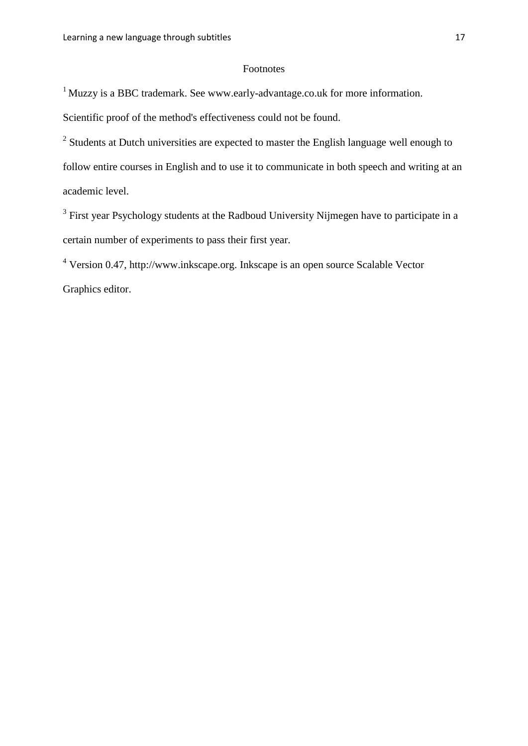#### Footnotes

<sup>1</sup> Muzzy is a BBC trademark. See www.early-advantage.co.uk for more information.

Scientific proof of the method's effectiveness could not be found.

 $2$  Students at Dutch universities are expected to master the English language well enough to follow entire courses in English and to use it to communicate in both speech and writing at an academic level.

 $3$  First year Psychology students at the Radboud University Nijmegen have to participate in a certain number of experiments to pass their first year.

<sup>4</sup> Version 0.47, http://www.inkscape.org. Inkscape is an open source Scalable Vector Graphics editor.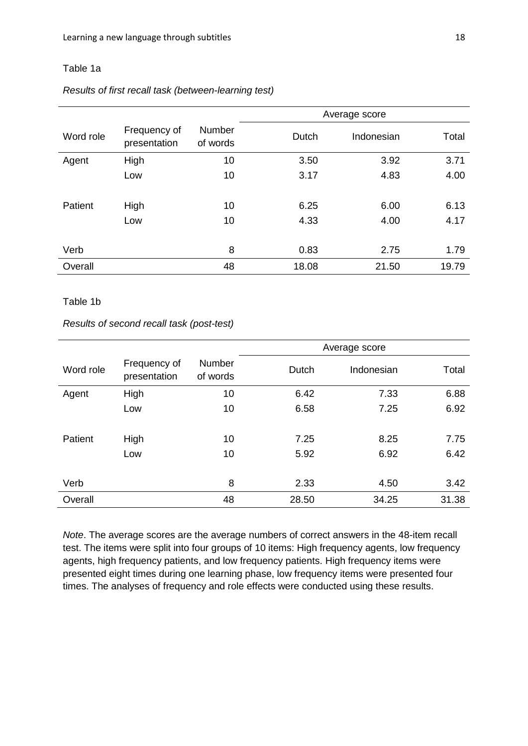# Table 1a

#### *Results of first recall task (between-learning test)*

|           |                              |                    | Average score |            |       |
|-----------|------------------------------|--------------------|---------------|------------|-------|
| Word role | Frequency of<br>presentation | Number<br>of words | <b>Dutch</b>  | Indonesian | Total |
| Agent     | High                         | 10                 | 3.50          | 3.92       | 3.71  |
|           | Low                          | 10                 | 3.17          | 4.83       | 4.00  |
| Patient   | High                         | 10                 | 6.25          | 6.00       | 6.13  |
|           | Low                          | 10                 | 4.33          | 4.00       | 4.17  |
| Verb      |                              | 8                  | 0.83          | 2.75       | 1.79  |
| Overall   |                              | 48                 | 18.08         | 21.50      | 19.79 |

# Table 1b

# *Results of second recall task (post-test)*

|           |                              |                    | Average score |              |              |
|-----------|------------------------------|--------------------|---------------|--------------|--------------|
| Word role | Frequency of<br>presentation | Number<br>of words | Dutch         | Indonesian   | Total        |
| Agent     | High                         | 10                 | 6.42          | 7.33         | 6.88         |
|           | Low                          | 10                 | 6.58          | 7.25         | 6.92         |
| Patient   | High<br>Low                  | 10<br>10           | 7.25<br>5.92  | 8.25<br>6.92 | 7.75<br>6.42 |
| Verb      |                              | 8                  | 2.33          | 4.50         | 3.42         |
| Overall   |                              | 48                 | 28.50         | 34.25        | 31.38        |

*Note*. The average scores are the average numbers of correct answers in the 48-item recall test. The items were split into four groups of 10 items: High frequency agents, low frequency agents, high frequency patients, and low frequency patients. High frequency items were presented eight times during one learning phase, low frequency items were presented four times. The analyses of frequency and role effects were conducted using these results.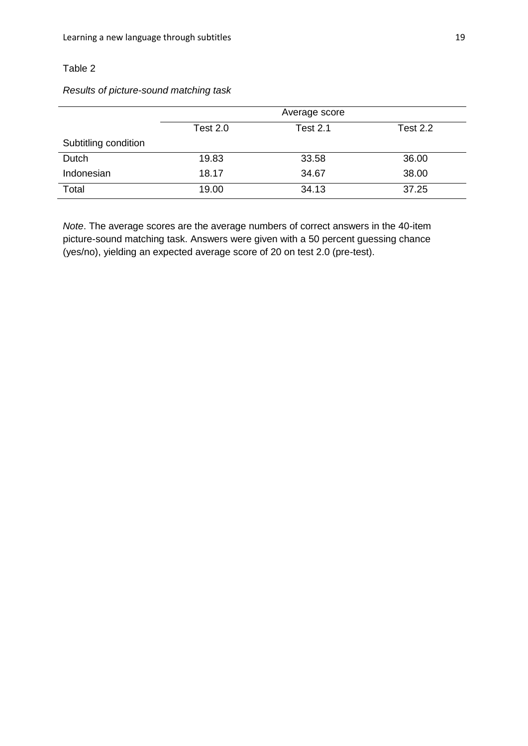# Table 2

# *Results of picture-sound matching task*

|                      | Average score |                 |          |
|----------------------|---------------|-----------------|----------|
|                      | Test 2.0      | <b>Test 2.1</b> | Test 2.2 |
| Subtitling condition |               |                 |          |
| Dutch                | 19.83         | 33.58           | 36.00    |
| Indonesian           | 18.17         | 34.67           | 38.00    |
| Total                | 19.00         | 34.13           | 37.25    |

*Note*. The average scores are the average numbers of correct answers in the 40-item picture-sound matching task. Answers were given with a 50 percent guessing chance (yes/no), yielding an expected average score of 20 on test 2.0 (pre-test).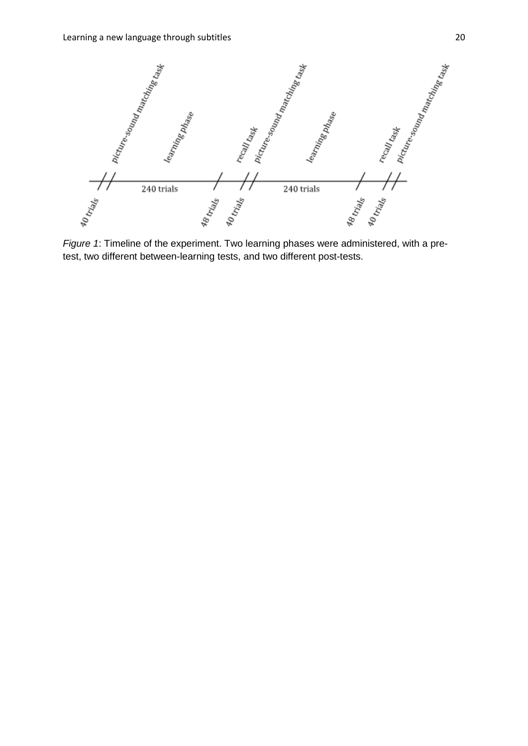

*Figure 1*: Timeline of the experiment. Two learning phases were administered, with a pretest, two different between-learning tests, and two different post-tests.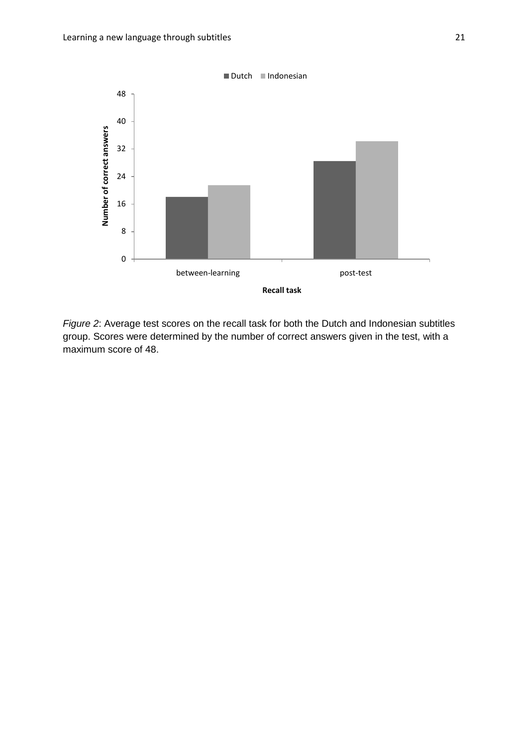

*Figure 2*: Average test scores on the recall task for both the Dutch and Indonesian subtitles group. Scores were determined by the number of correct answers given in the test, with a maximum score of 48.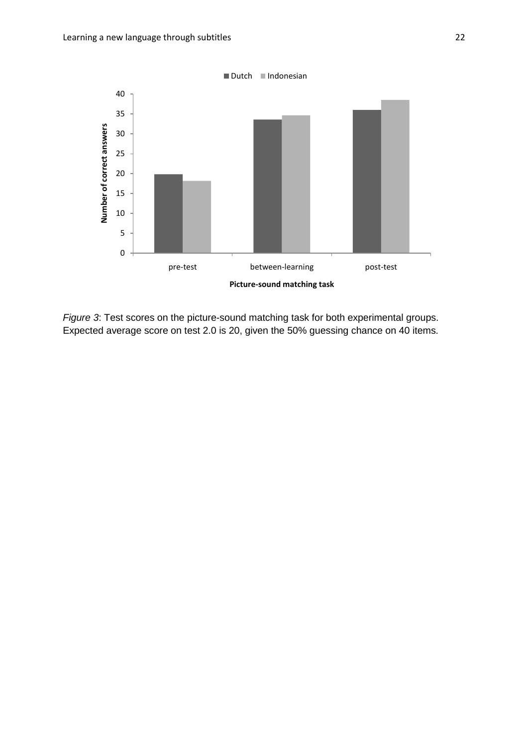

*Figure 3*: Test scores on the picture-sound matching task for both experimental groups. Expected average score on test 2.0 is 20, given the 50% guessing chance on 40 items.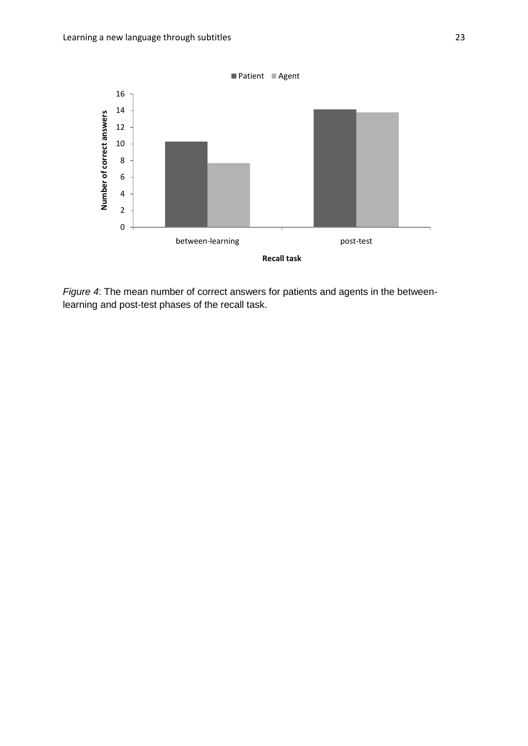

*Figure 4*: The mean number of correct answers for patients and agents in the betweenlearning and post-test phases of the recall task.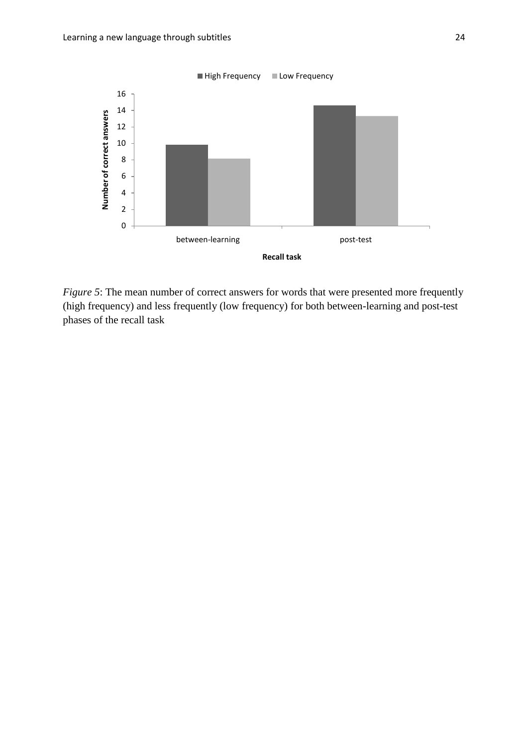

*Figure 5*: The mean number of correct answers for words that were presented more frequently (high frequency) and less frequently (low frequency) for both between-learning and post-test phases of the recall task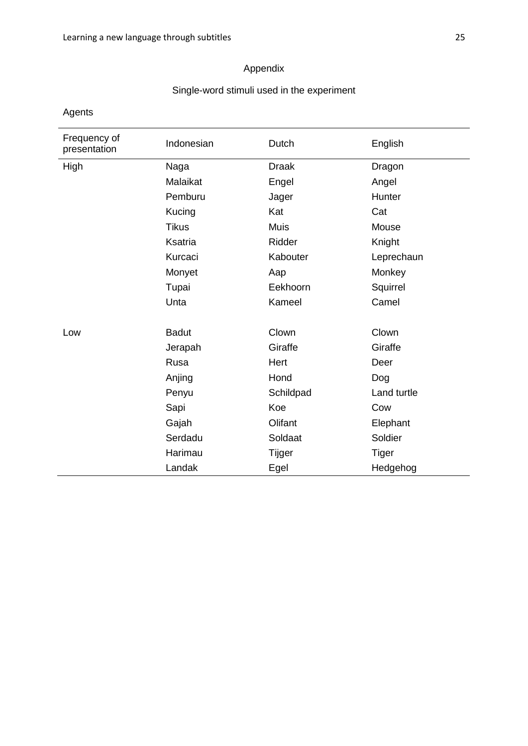# Appendix

# Single-word stimuli used in the experiment

Agents

| Frequency of<br>presentation | Indonesian   | Dutch        | English      |
|------------------------------|--------------|--------------|--------------|
| High                         | Naga         | <b>Draak</b> | Dragon       |
|                              | Malaikat     | Engel        | Angel        |
|                              | Pemburu      | Jager        | Hunter       |
|                              | Kucing       | Kat          | Cat          |
|                              | <b>Tikus</b> | <b>Muis</b>  | Mouse        |
|                              | Ksatria      | Ridder       | Knight       |
|                              | Kurcaci      | Kabouter     | Leprechaun   |
|                              | Monyet       | Aap          | Monkey       |
|                              | Tupai        | Eekhoorn     | Squirrel     |
|                              | Unta         | Kameel       | Camel        |
|                              |              |              |              |
| Low                          | <b>Badut</b> | Clown        | Clown        |
|                              | Jerapah      | Giraffe      | Giraffe      |
|                              | Rusa         | Hert         | Deer         |
|                              | Anjing       | Hond         | Dog          |
|                              | Penyu        | Schildpad    | Land turtle  |
|                              | Sapi         | Koe          | Cow          |
|                              | Gajah        | Olifant      | Elephant     |
|                              | Serdadu      | Soldaat      | Soldier      |
|                              | Harimau      | Tijger       | <b>Tiger</b> |
|                              | Landak       | Egel         | Hedgehog     |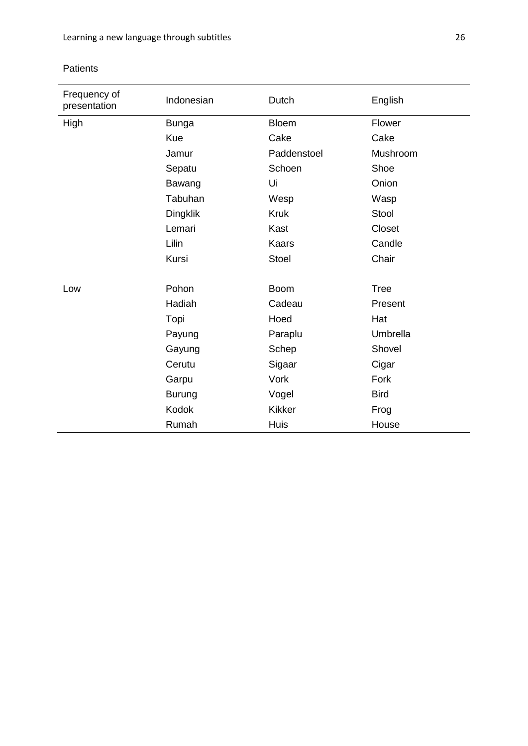# Patients

| Frequency of<br>presentation | Indonesian    | Dutch         | English     |
|------------------------------|---------------|---------------|-------------|
| High                         | <b>Bunga</b>  | <b>Bloem</b>  | Flower      |
|                              | Kue           | Cake          | Cake        |
|                              | Jamur         | Paddenstoel   | Mushroom    |
|                              | Sepatu        | Schoen        | Shoe        |
|                              | Bawang        | Ui            | Onion       |
|                              | Tabuhan       | Wesp          | Wasp        |
|                              | Dingklik      | <b>Kruk</b>   | Stool       |
|                              | Lemari        | Kast          | Closet      |
|                              | Lilin         | <b>Kaars</b>  | Candle      |
|                              | Kursi         | <b>Stoel</b>  | Chair       |
|                              |               |               |             |
| Low                          | Pohon         | <b>Boom</b>   | <b>Tree</b> |
|                              | Hadiah        | Cadeau        | Present     |
|                              | Topi          | Hoed          | Hat         |
|                              | Payung        | Paraplu       | Umbrella    |
|                              | Gayung        | Schep         | Shovel      |
|                              | Cerutu        | Sigaar        | Cigar       |
|                              | Garpu         | Vork          | Fork        |
|                              | <b>Burung</b> | Vogel         | <b>Bird</b> |
|                              | <b>Kodok</b>  | <b>Kikker</b> | Frog        |
|                              | Rumah         | <b>Huis</b>   | House       |